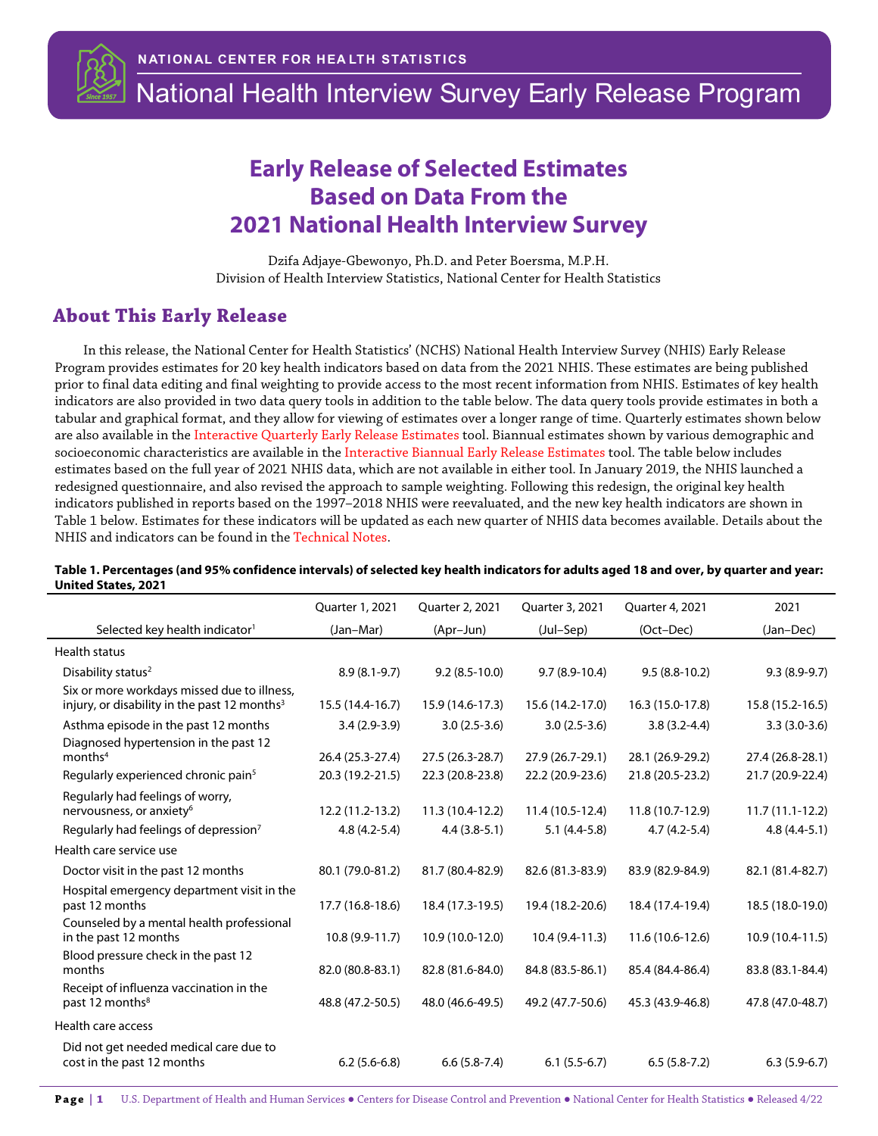

National Health Interview Survey Early Release Program

## **Early Release of Selected Estimates Based on Data From the 2021 National Health Interview Survey**

Dzifa Adjaye-Gbewonyo, Ph.D. and Peter Boersma, M.P.H. Division of Health Interview Statistics, National Center for Health Statistics

## <span id="page-0-0"></span> **About This Early Release**

In this release, the National Center for Health Statistics' (NCHS) National Health Interview Survey (NHIS) Early Release Program provides estimates for 20 key health indicators based on data from the 2021 NHIS. These estimates are being published prior to final data editing and final weighting to provide access to the most recent information from NHIS. Estimates of key health indicators are also provided in two data query tools in addition to the table below. The data query tools provide estimates in both a tabular and graphical format, and they allow for viewing of estimates over a longer range of time. Quarterly estimates shown below are also available in the Interactive [Quarterly Early Release Estimates](https://wwwn.cdc.gov/NHISDataQueryTool/ER_Quarterly/index_quarterly.html) tool. Biannual estimates shown by various demographic and socioeconomic characteristics are available in th[e Interactive Biannual Early Release Estimates](https://wwwn.cdc.gov/NHISDataQueryTool/ER_Biannual/index_biannual.html) tool. The table below includes estimates based on the full year of 2021 NHIS data, which are not available in either tool. In January 2019, the NHIS launched a redesigned questionnaire, and also revised the approach to sample weighting. Following this redesign, the original key health indicators published in reports based on the 1997–2018 NHIS were reevaluated, and the new key health indicators are shown in Table 1 below. Estimates for these indicators will be updated as each new quarter of NHIS data becomes available. Details about the NHIS and indicators can be found in th[e Technical Notes.](https://www.cdc.gov/nchs/data/nhis/earlyrelease/earlyrelease202204_tech.pdf)

|                                                                                                | Quarter 1, 2021  | Quarter 2, 2021  | Quarter 3, 2021  | Quarter 4, 2021  | 2021              |
|------------------------------------------------------------------------------------------------|------------------|------------------|------------------|------------------|-------------------|
| Selected key health indicator <sup>1</sup>                                                     | (Jan-Mar)        | (Apr-Jun)        | (Jul-Sep)        | (Oct-Dec)        | (Jan-Dec)         |
| <b>Health status</b>                                                                           |                  |                  |                  |                  |                   |
| Disability status <sup>2</sup>                                                                 | $8.9(8.1-9.7)$   | $9.2(8.5-10.0)$  | $9.7(8.9-10.4)$  | $9.5(8.8-10.2)$  | $9.3(8.9-9.7)$    |
| Six or more workdays missed due to illness,<br>injury, or disability in the past 12 months $3$ | 15.5 (14.4-16.7) | 15.9 (14.6-17.3) | 15.6 (14.2-17.0) | 16.3 (15.0-17.8) | 15.8 (15.2-16.5)  |
| Asthma episode in the past 12 months                                                           | $3.4(2.9-3.9)$   | $3.0(2.5-3.6)$   | $3.0(2.5-3.6)$   | $3.8(3.2 - 4.4)$ | $3.3(3.0-3.6)$    |
| Diagnosed hypertension in the past 12<br>months <sup>4</sup>                                   | 26.4 (25.3-27.4) | 27.5 (26.3-28.7) | 27.9 (26.7-29.1) | 28.1 (26.9-29.2) | 27.4 (26.8-28.1)  |
| Regularly experienced chronic pain <sup>5</sup>                                                | 20.3 (19.2-21.5) | 22.3 (20.8-23.8) | 22.2 (20.9-23.6) | 21.8 (20.5-23.2) | 21.7 (20.9-22.4)  |
| Regularly had feelings of worry,<br>nervousness, or anxiety <sup>6</sup>                       | 12.2 (11.2-13.2) | 11.3 (10.4-12.2) | 11.4 (10.5-12.4) | 11.8 (10.7-12.9) | $11.7(11.1-12.2)$ |
| Regularly had feelings of depression <sup>7</sup>                                              | $4.8(4.2-5.4)$   | $4.4(3.8-5.1)$   | $5.1(4.4-5.8)$   | $4.7(4.2-5.4)$   | $4.8(4.4-5.1)$    |
| Health care service use                                                                        |                  |                  |                  |                  |                   |
| Doctor visit in the past 12 months                                                             | 80.1 (79.0-81.2) | 81.7 (80.4-82.9) | 82.6 (81.3-83.9) | 83.9 (82.9-84.9) | 82.1 (81.4-82.7)  |
| Hospital emergency department visit in the<br>past 12 months                                   | 17.7 (16.8-18.6) | 18.4 (17.3-19.5) | 19.4 (18.2-20.6) | 18.4 (17.4-19.4) | 18.5 (18.0-19.0)  |
| Counseled by a mental health professional<br>in the past 12 months                             | 10.8 (9.9-11.7)  | 10.9 (10.0-12.0) | 10.4 (9.4-11.3)  | 11.6 (10.6-12.6) | 10.9 (10.4-11.5)  |
| Blood pressure check in the past 12<br>months                                                  | 82.0 (80.8-83.1) | 82.8 (81.6-84.0) | 84.8 (83.5-86.1) | 85.4 (84.4-86.4) | 83.8 (83.1-84.4)  |
| Receipt of influenza vaccination in the<br>past 12 months <sup>8</sup>                         | 48.8 (47.2-50.5) | 48.0 (46.6-49.5) | 49.2 (47.7-50.6) | 45.3 (43.9-46.8) | 47.8 (47.0-48.7)  |
| Health care access                                                                             |                  |                  |                  |                  |                   |
| Did not get needed medical care due to<br>cost in the past 12 months                           | $6.2(5.6-6.8)$   | $6.6(5.8-7.4)$   | $6.1(5.5-6.7)$   | $6.5(5.8-7.2)$   | $6.3(5.9-6.7)$    |

## **Table 1. Percentages (and 95% confidence intervals) of selected key health indicators for adults aged 18 and over, by quarter and year: United States, 2021**